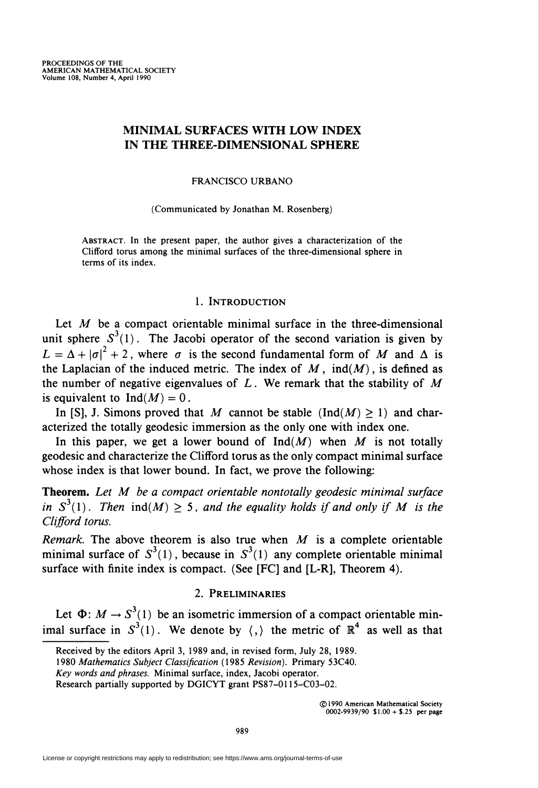# MINIMAL SURFACES WITH LOW INDEX IN THE THREE-DIMENSIONAL SPHERE

#### FRANCISCO URBANO

#### (Communicated by Jonathan M. Rosenberg)

Abstract. In the present paper, the author gives a characterization of the Clifford torus among the minimal surfaces of the three-dimensional sphere in terms of its index.

## 1. Introduction

Let  $M$  be a compact orientable minimal surface in the three-dimensional unit sphere  $S^3(1)$ . The Jacobi operator of the second variation is given by  $L = \Delta + |\sigma|^2 + 2$ , where  $\sigma$  is the second fundamental form of M and  $\Delta$  is the Laplacian of the induced metric. The index of  $M$ ,  $ind(M)$ , is defined as the number of negative eigenvalues of  $L$ . We remark that the stability of M is equivalent to  $Ind(M) = 0$ .

In [S], J. Simons proved that M cannot be stable  $(Ind(M) > 1)$  and characterized the totally geodesic immersion as the only one with index one.

In this paper, we get a lower bound of  $Ind(M)$  when M is not totally geodesic and characterize the Clifford torus as the only compact minimal surface whose index is that lower bound. In fact, we prove the following:

Theorem. Let M be a compact orientable nontotally geodesic minimal surface in  $S^3(1)$ . Then  $ind(M) \geq 5$ , and the equality holds if and only if M is the Clifford torus.

Remark. The above theorem is also true when  $M$  is a complete orientable minimal surface of  $S^3(1)$ , because in  $S^3(1)$  any complete orientable minimal surface with finite index is compact. (See [FC] and [L-R], Theorem 4).

## 2. Preliminaries

Let  $\Phi$ :  $M \rightarrow S^3(1)$  be an isometric immersion of a compact orientable minimal surface in  $S^3(1)$ . We denote by  $\langle \cdot, \rangle$  the metric of  $\mathbb{R}^4$  as well as that

Received by the editors April 3, 1989 and, in revised form, July 28, 1989.

<sup>1980</sup> Mathematics Subject Classification (1985 Revision). Primary 53C40.

Key words and phrases. Minimal surface, index, Jacobi operator.

Research partially supported by DGICYT grant PS87-0115-C03-02.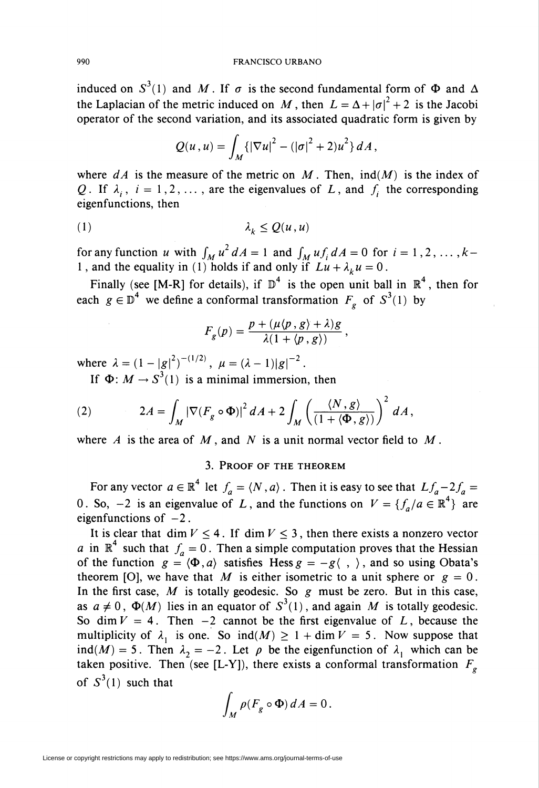induced on  $S^3(1)$  and M. If  $\sigma$  is the second fundamental form of  $\Phi$  and  $\Delta$ the Laplacian of the metric induced on M, then  $L = \Delta + |\sigma|^2 + 2$  is the Jacobi operator of the second variation, and its associated quadratic form is given by

$$
Q(u, u) = \int_M \{ |\nabla u|^2 - (|\sigma|^2 + 2) u^2 \} dA,
$$

where  $dA$  is the measure of the metric on M. Then,  $ind(M)$  is the index of Q. If  $\lambda_i$ ,  $i = 1, 2, \ldots$ , are the eigenvalues of L, and  $f_i$  the corresponding eigenfunctions, then

$$
(1) \qquad \qquad \lambda_k \le Q(u, u)
$$

for any function u with  $\int_M u^2 dA = 1$  and  $\int_M uf_i dA = 0$  for  $i = 1, 2, ..., k$ 1, and the equality in (1) holds if and only if  $Lu + \lambda_k u = 0$ .

Finally (see [M-R] for details), if  $\mathbb{D}^4$  is the open unit ball in  $\mathbb{R}^4$ , then for each  $g \in \mathbb{D}^4$  we define a conformal transformation  $F_e$  of  $S^3(1)$  by

$$
F_g(p) = \frac{p + (\mu \langle p, g \rangle + \lambda)g}{\lambda (1 + \langle p, g \rangle)},
$$

where  $\lambda = (1 - |g|^2)^{-(1/2)}$ ,  $\mu = (\lambda - 1)|g|^{-2}$ .

If  $\Phi: M \to S^3(1)$  is a minimal immersion, then

(2) 
$$
2A = \int_M |\nabla (F_g \circ \Phi)|^2 dA + 2 \int_M \left(\frac{\langle N, g \rangle}{(1 + \langle \Phi, g \rangle)}\right)^2 dA,
$$

where A is the area of  $M$ , and N is a unit normal vector field to  $M$ .

### 3. Proof of the theorem

For any vector  $a \in \mathbb{R}^4$  let  $f_a = \langle N, a \rangle$ . Then it is easy to see that  $Lf_a - 2f_a =$ 0. So, -2 is an eigenvalue of L, and the functions on  $V = \{f_a/a \in \mathbb{R}^4\}$  are eigenfunctions of  $-2$ .

It is clear that dim  $V \leq 4$ . If dim  $V \leq 3$ , then there exists a nonzero vector a in  $\mathbb{R}^4$  such that  $f_a = 0$ . Then a simple computation proves that the Hessian of the function  $g = \langle \Phi, a \rangle$  satisfies Hess  $g = -g \langle , \rangle$ , and so using Obata's theorem [O], we have that M is either isometric to a unit sphere or  $g = 0$ . In the first case,  $M$  is totally geodesic. So  $g$  must be zero. But in this case, as  $a \neq 0$ ,  $\Phi(M)$  lies in an equator of  $S^3(1)$ , and again M is totally geodesic. So dim  $V = 4$ . Then -2 cannot be the first eigenvalue of L, because the multiplicity of  $\lambda_1$  is one. So ind(M)  $\geq 1 + \dim V = 5$ . Now suppose that ind(M) = 5. Then  $\lambda_2 = -2$ . Let  $\rho$  be the eigenfunction of  $\lambda_1$  which can be taken positive. Then (see [L-Y]), there exists a conformal transformation  $F<sub>g</sub>$ of  $S^3(1)$  such that

$$
\int_M \rho(F_g \circ \Phi) dA = 0.
$$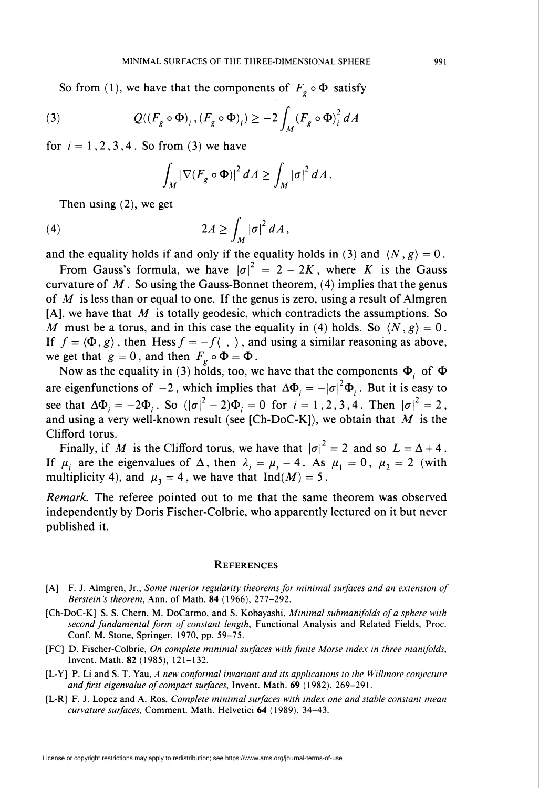So from (1), we have that the components of  $F_g \circ \Phi$  satisfy

(3) 
$$
Q((F_g \circ \Phi)_i, (F_g \circ \Phi)_i) \geq -2 \int_M (F_g \circ \Phi)_i^2 dA
$$

for  $i = 1, 2, 3, 4$ . So from (3) we have

$$
\int_M |\nabla (F_g \circ \Phi)|^2 dA \ge \int_M |\sigma|^2 dA.
$$

Then using (2), we get

$$
(4) \t\t 2A \ge \int_M |\sigma|^2 dA,
$$

and the equality holds if and only if the equality holds in (3) and  $\langle N, g \rangle = 0$ .

From Gauss's formula, we have  $|\sigma|^2 = 2 - 2K$ , where K is the Gauss curvature of  $M$ . So using the Gauss-Bonnet theorem, (4) implies that the genus of  $M$  is less than or equal to one. If the genus is zero, using a result of Almgren [A], we have that  $M$  is totally geodesic, which contradicts the assumptions. So M must be a torus, and in this case the equality in (4) holds. So  $\langle N, g \rangle = 0$ . If  $f = \langle \Phi, g \rangle$ , then Hess  $f = -f \langle , \rangle$ , and using a similar reasoning as above, we get that  $g = 0$ , and then  $F_g \circ \Phi = \Phi$ .

Now as the equality in (3) holds, too, we have that the components  $\Phi_i$  of  $\Phi$ are eigenfunctions of  $-2$ , which implies that  $\Delta \Phi_i = -|\sigma|^2 \Phi_i$ . But it is easy to see that  $\Delta \Phi_i = -2\Phi_i$ . So  $(|\sigma|^2 - 2)\Phi_i = 0$  for  $i = 1, 2, 3, 4$ . Then  $|\sigma|^2 = 2$ , and using a very well-known result (see [Ch-DoC-K]), we obtain that  $M$  is the Clifford torus.

Finally, if M is the Clifford torus, we have that  $|\sigma|^2 = 2$  and so  $L = \Delta + 4$ . If  $\mu_i$  are the eigenvalues of  $\Delta$ , then  $\lambda_i = \mu_i - 4$ . As  $\mu_1 = 0$ ,  $\mu_2 = 2$  (with multiplicity 4), and  $\mu_3 = 4$ , we have that Ind(M) = 5.

Remark. The referee pointed out to me that the same theorem was observed independently by Doris Fischer-Colbrie, who apparently lectured on it but never published it.

#### **REFERENCES**

- [A] F. J. Almgren, Jr., Some interior regularity theorems for minimal surfaces and an extension of Berstein's theorem, Ann. of Math. 84 (1966), 277-292.
- [Ch-DoC-K] S. S. Chern, M. DoCarmo, and S. Kobayashi, Minimal submanifolds of a sphere with second fundamental form of constant length, Functional Analysis and Related Fields, Proc. Conf. M. Stone, Springer, 1970, pp. 59-75.
- [FC] D. Fischer-Colbrie, On complete minimal surfaces with finite Morse index in three manifolds. Invent. Math. 82 (1985), 121-132.
- [L-Y] P. Li and S. T. Yau, A new conformai invariant and its applications to the Willmore conjecture and first eigenvalue of compact surfaces, Invent. Math. 69 (1982), 269-291.
- [L-R] F. J. Lopez and A. Ros, Complete minimal surfaces with index one and stable constant mean curvature surfaces, Comment. Math. Helvetici 64 (1989), 34-43.